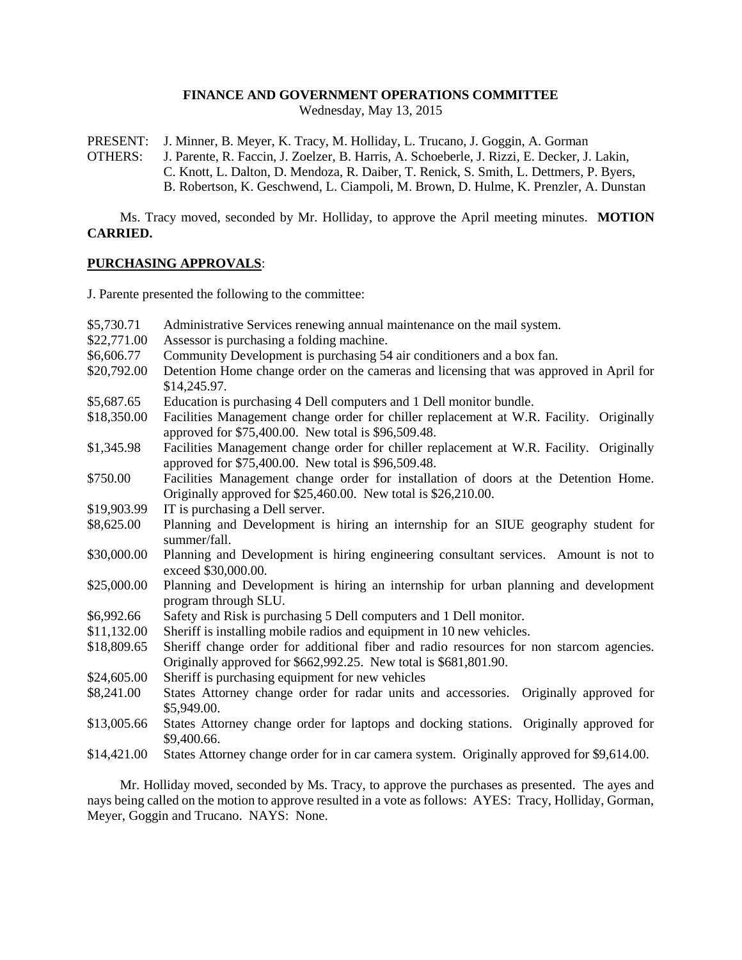# **FINANCE AND GOVERNMENT OPERATIONS COMMITTEE**

Wednesday, May 13, 2015

PRESENT: J. Minner, B. Meyer, K. Tracy, M. Holliday, L. Trucano, J. Goggin, A. Gorman

OTHERS: J. Parente, R. Faccin, J. Zoelzer, B. Harris, A. Schoeberle, J. Rizzi, E. Decker, J. Lakin, C. Knott, L. Dalton, D. Mendoza, R. Daiber, T. Renick, S. Smith, L. Dettmers, P. Byers, B. Robertson, K. Geschwend, L. Ciampoli, M. Brown, D. Hulme, K. Prenzler, A. Dunstan

Ms. Tracy moved, seconded by Mr. Holliday, to approve the April meeting minutes. **MOTION CARRIED.**

#### **PURCHASING APPROVALS**:

J. Parente presented the following to the committee:

| \$5,730.71                | Administrative Services renewing annual maintenance on the mail system.                                                                                                                                                              |
|---------------------------|--------------------------------------------------------------------------------------------------------------------------------------------------------------------------------------------------------------------------------------|
| \$22,771.00               | Assessor is purchasing a folding machine.                                                                                                                                                                                            |
| \$6,606.77                | Community Development is purchasing 54 air conditioners and a box fan.                                                                                                                                                               |
| \$20,792.00               | Detention Home change order on the cameras and licensing that was approved in April for<br>\$14,245.97.                                                                                                                              |
| \$5,687.65                | Education is purchasing 4 Dell computers and 1 Dell monitor bundle.                                                                                                                                                                  |
| \$18,350.00               | Facilities Management change order for chiller replacement at W.R. Facility. Originally<br>approved for \$75,400.00. New total is \$96,509.48.                                                                                       |
| \$1,345.98                | Facilities Management change order for chiller replacement at W.R. Facility. Originally<br>approved for \$75,400.00. New total is \$96,509.48.                                                                                       |
| \$750.00                  | Facilities Management change order for installation of doors at the Detention Home.<br>Originally approved for \$25,460.00. New total is \$26,210.00.                                                                                |
| \$19,903.99               | IT is purchasing a Dell server.                                                                                                                                                                                                      |
| \$8,625.00                | Planning and Development is hiring an internship for an SIUE geography student for<br>summer/fall.                                                                                                                                   |
|                           |                                                                                                                                                                                                                                      |
| \$30,000.00               | Planning and Development is hiring engineering consultant services. Amount is not to                                                                                                                                                 |
| \$25,000.00               | exceed \$30,000.00.<br>Planning and Development is hiring an internship for urban planning and development<br>program through SLU.                                                                                                   |
|                           |                                                                                                                                                                                                                                      |
| \$6,992.66<br>\$11,132.00 | Safety and Risk is purchasing 5 Dell computers and 1 Dell monitor.                                                                                                                                                                   |
| \$18,809.65               | Sheriff is installing mobile radios and equipment in 10 new vehicles.<br>Sheriff change order for additional fiber and radio resources for non starcom agencies.<br>Originally approved for \$662,992.25. New total is \$681,801.90. |
| \$24,605.00               | Sheriff is purchasing equipment for new vehicles                                                                                                                                                                                     |
| \$8,241.00                | States Attorney change order for radar units and accessories. Originally approved for<br>\$5,949.00.                                                                                                                                 |
| \$13,005.66               | States Attorney change order for laptops and docking stations. Originally approved for<br>\$9,400.66.                                                                                                                                |

Mr. Holliday moved, seconded by Ms. Tracy, to approve the purchases as presented. The ayes and nays being called on the motion to approve resulted in a vote as follows: AYES: Tracy, Holliday, Gorman, Meyer, Goggin and Trucano. NAYS: None.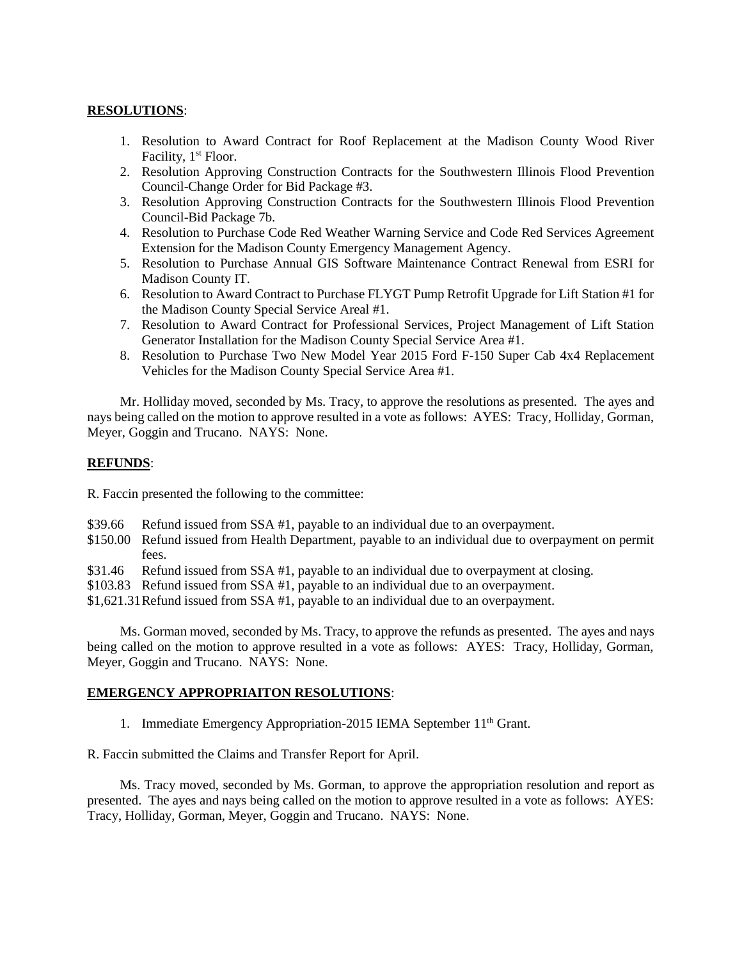# **RESOLUTIONS**:

- 1. Resolution to Award Contract for Roof Replacement at the Madison County Wood River Facility, 1<sup>st</sup> Floor.
- 2. Resolution Approving Construction Contracts for the Southwestern Illinois Flood Prevention Council-Change Order for Bid Package #3.
- 3. Resolution Approving Construction Contracts for the Southwestern Illinois Flood Prevention Council-Bid Package 7b.
- 4. Resolution to Purchase Code Red Weather Warning Service and Code Red Services Agreement Extension for the Madison County Emergency Management Agency.
- 5. Resolution to Purchase Annual GIS Software Maintenance Contract Renewal from ESRI for Madison County IT.
- 6. Resolution to Award Contract to Purchase FLYGT Pump Retrofit Upgrade for Lift Station #1 for the Madison County Special Service Areal #1.
- 7. Resolution to Award Contract for Professional Services, Project Management of Lift Station Generator Installation for the Madison County Special Service Area #1.
- 8. Resolution to Purchase Two New Model Year 2015 Ford F-150 Super Cab 4x4 Replacement Vehicles for the Madison County Special Service Area #1.

Mr. Holliday moved, seconded by Ms. Tracy, to approve the resolutions as presented. The ayes and nays being called on the motion to approve resulted in a vote as follows: AYES: Tracy, Holliday, Gorman, Meyer, Goggin and Trucano. NAYS: None.

#### **REFUNDS**:

R. Faccin presented the following to the committee:

- \$39.66 Refund issued from SSA #1, payable to an individual due to an overpayment.
- \$150.00 Refund issued from Health Department, payable to an individual due to overpayment on permit fees.
- \$31.46 Refund issued from SSA #1, payable to an individual due to overpayment at closing.
- \$103.83 Refund issued from SSA #1, payable to an individual due to an overpayment.
- \$1,621.31Refund issued from SSA #1, payable to an individual due to an overpayment.

Ms. Gorman moved, seconded by Ms. Tracy, to approve the refunds as presented. The ayes and nays being called on the motion to approve resulted in a vote as follows: AYES: Tracy, Holliday, Gorman, Meyer, Goggin and Trucano. NAYS: None.

### **EMERGENCY APPROPRIAITON RESOLUTIONS**:

1. Immediate Emergency Appropriation-2015 IEMA September 11<sup>th</sup> Grant.

R. Faccin submitted the Claims and Transfer Report for April.

Ms. Tracy moved, seconded by Ms. Gorman, to approve the appropriation resolution and report as presented. The ayes and nays being called on the motion to approve resulted in a vote as follows: AYES: Tracy, Holliday, Gorman, Meyer, Goggin and Trucano. NAYS: None.